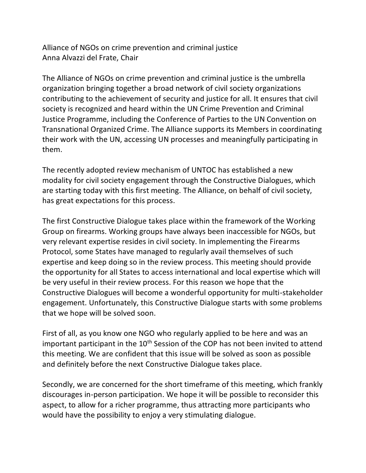Alliance of NGOs on crime prevention and criminal justice Anna Alvazzi del Frate, Chair

The Alliance of NGOs on crime prevention and criminal justice is the umbrella organization bringing together a broad network of civil society organizations contributing to the achievement of security and justice for all. It ensures that civil society is recognized and heard within the UN Crime Prevention and Criminal Justice Programme, including the Conference of Parties to the UN Convention on Transnational Organized Crime. The Alliance supports its Members in coordinating their work with the UN, accessing UN processes and meaningfully participating in them.

The recently adopted review mechanism of UNTOC has established a new modality for civil society engagement through the Constructive Dialogues, which are starting today with this first meeting. The Alliance, on behalf of civil society, has great expectations for this process.

The first Constructive Dialogue takes place within the framework of the Working Group on firearms. Working groups have always been inaccessible for NGOs, but very relevant expertise resides in civil society. In implementing the Firearms Protocol, some States have managed to regularly avail themselves of such expertise and keep doing so in the review process. This meeting should provide the opportunity for all States to access international and local expertise which will be very useful in their review process. For this reason we hope that the Constructive Dialogues will become a wonderful opportunity for multi-stakeholder engagement. Unfortunately, this Constructive Dialogue starts with some problems that we hope will be solved soon.

First of all, as you know one NGO who regularly applied to be here and was an important participant in the 10<sup>th</sup> Session of the COP has not been invited to attend this meeting. We are confident that this issue will be solved as soon as possible and definitely before the next Constructive Dialogue takes place.

Secondly, we are concerned for the short timeframe of this meeting, which frankly discourages in-person participation. We hope it will be possible to reconsider this aspect, to allow for a richer programme, thus attracting more participants who would have the possibility to enjoy a very stimulating dialogue.